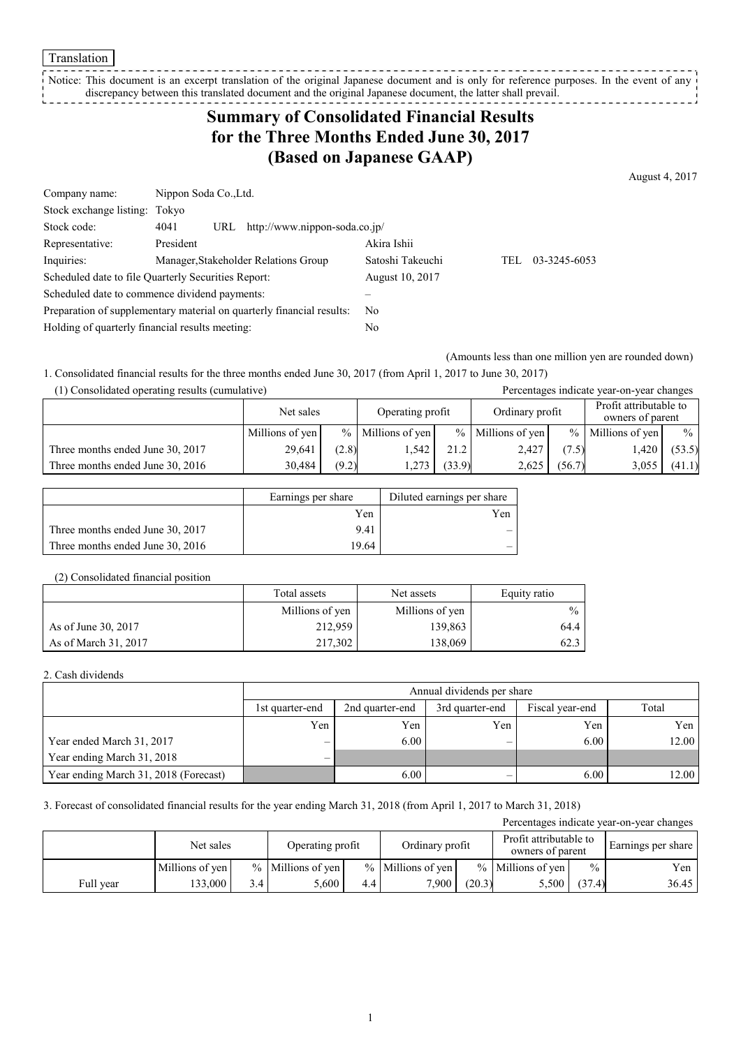Translation

Notice: This document is an excerpt translation of the original Japanese document and is only for reference purposes. In the event of any discrepancy between this translated document and the original Japanese document, the latter shall prevail. 

# **Summary of Consolidated Financial Results for the Three Months Ended June 30, 2017 (Based on Japanese GAAP)**

August 4, 2017

| Company name:                                                         | Nippon Soda Co., Ltd. |     |                                      |                  |     |              |
|-----------------------------------------------------------------------|-----------------------|-----|--------------------------------------|------------------|-----|--------------|
| Stock exchange listing: Tokyo                                         |                       |     |                                      |                  |     |              |
| Stock code:                                                           | 4041                  | URL | http://www.nippon-soda.co.jp/        |                  |     |              |
| Representative:                                                       | President             |     |                                      | Akira Ishii      |     |              |
| Inquiries:                                                            |                       |     | Manager, Stakeholder Relations Group | Satoshi Takeuchi | TEL | 03-3245-6053 |
| Scheduled date to file Quarterly Securities Report:                   |                       |     |                                      | August 10, 2017  |     |              |
| Scheduled date to commence dividend payments:                         |                       |     |                                      |                  |     |              |
| Preparation of supplementary material on quarterly financial results: |                       |     |                                      | No               |     |              |
| Holding of quarterly financial results meeting:                       |                       |     |                                      | No               |     |              |

(Amounts less than one million yen are rounded down)

1. Consolidated financial results for the three months ended June 30, 2017 (from April 1, 2017 to June 30, 2017)

| (1) Consolidated operating results (cumulative) |                 |       |                     |        |                     |        | Percentages indicate year-on-year changes  |               |
|-------------------------------------------------|-----------------|-------|---------------------|--------|---------------------|--------|--------------------------------------------|---------------|
|                                                 | Net sales       |       | Operating profit    |        | Ordinary profit     |        | Profit attributable to<br>owners of parent |               |
|                                                 | Millions of yen |       | $%$ Millions of yen |        | $%$ Millions of yen |        | $%$ Millions of yen                        | $\frac{0}{0}$ |
| Three months ended June 30, 2017                | 29.641          | (2.8) | 1.542               | 21.2   | 2.427               | (7.5)  | 1,420                                      | (53.5)        |
| Three months ended June 30, 2016                | 30.484          | (9.2) | 1,273               | (33.9) | 2,625               | (56.7) | 3,055                                      | (41.1)        |

|                                  | Earnings per share | Diluted earnings per share |
|----------------------------------|--------------------|----------------------------|
|                                  | Yen                | Yen                        |
| Three months ended June 30, 2017 | 9.41               |                            |
| Three months ended June 30, 2016 | 9.64               |                            |

#### (2) Consolidated financial position

|                      | Total assets    | Net assets      | Equity ratio  |
|----------------------|-----------------|-----------------|---------------|
|                      | Millions of yen | Millions of yen | $\frac{0}{0}$ |
| As of June 30, 2017  | 212,959         | 139,863         | 64.4          |
| As of March 31, 2017 | 217,302         | 138.069         | 62.3          |

#### 2. Cash dividends

|                                       | Annual dividends per share                                                        |      |     |      |       |  |  |
|---------------------------------------|-----------------------------------------------------------------------------------|------|-----|------|-------|--|--|
|                                       | Total<br>2nd quarter-end<br>Fiscal year-end<br>3rd quarter-end<br>1st quarter-end |      |     |      |       |  |  |
|                                       | Yen                                                                               | Yen  | Yen | Yen  | Yen   |  |  |
| Year ended March 31, 2017             |                                                                                   | 6.00 | -   | 6.00 | 12.00 |  |  |
| Year ending March 31, 2018            |                                                                                   |      |     |      |       |  |  |
| Year ending March 31, 2018 (Forecast) |                                                                                   | 6.00 |     | 6.00 | 12.00 |  |  |

### 3. Forecast of consolidated financial results for the year ending March 31, 2018 (from April 1, 2017 to March 31, 2018)

| Percentages indicate year-on-year changes |                 |                  |                     |                                                                                   |                     |        |                     |               |                    |
|-------------------------------------------|-----------------|------------------|---------------------|-----------------------------------------------------------------------------------|---------------------|--------|---------------------|---------------|--------------------|
|                                           | Net sales       |                  |                     | Profit attributable to<br>Ordinary profit<br>Operating profit<br>owners of parent |                     |        |                     |               | Earnings per share |
|                                           | Millions of yen |                  | $%$ Millions of yen |                                                                                   | $%$ Millions of yen |        | $%$ Millions of yen | $\frac{0}{0}$ | Yen                |
| Full year                                 | 33,000          | 3.4 <sub>1</sub> | 5.600               | 4.4                                                                               | 7.900 1             | (20.3) | 5,500               | (37.4)        | 36.45              |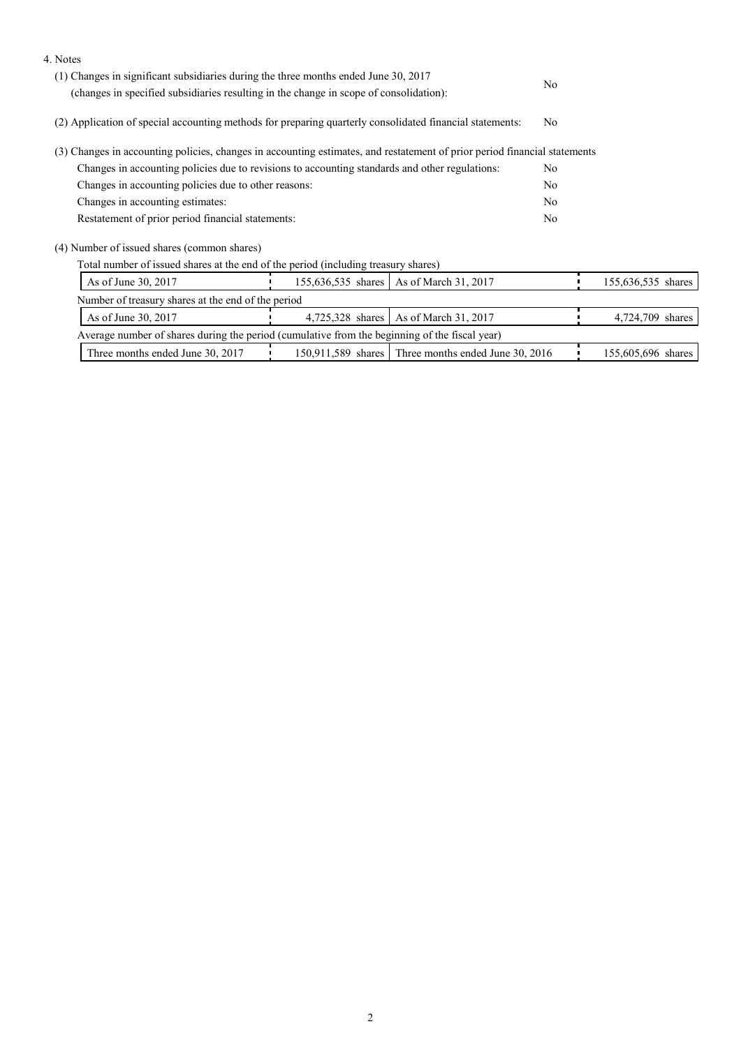| 4. Notes                                                                                                                  |                  |                                                     |                |                    |
|---------------------------------------------------------------------------------------------------------------------------|------------------|-----------------------------------------------------|----------------|--------------------|
| $(1)$ Changes in significant subsidiaries during the three months ended June 30, 2017                                     |                  |                                                     |                |                    |
| (changes in specified subsidiaries resulting in the change in scope of consolidation):                                    |                  |                                                     | N <sub>0</sub> |                    |
| (2) Application of special accounting methods for preparing quarterly consolidated financial statements:                  |                  |                                                     |                |                    |
| (3) Changes in accounting policies, changes in accounting estimates, and restatement of prior period financial statements |                  |                                                     |                |                    |
| Changes in accounting policies due to revisions to accounting standards and other regulations:                            |                  |                                                     |                |                    |
| Changes in accounting policies due to other reasons:                                                                      |                  |                                                     |                |                    |
| Changes in accounting estimates:                                                                                          |                  |                                                     |                |                    |
| Restatement of prior period financial statements:                                                                         |                  |                                                     | No             |                    |
| (4) Number of issued shares (common shares)                                                                               |                  |                                                     |                |                    |
| Total number of issued shares at the end of the period (including treasury shares)                                        |                  |                                                     |                |                    |
| As of June 30, 2017                                                                                                       |                  | 155,636,535 shares   As of March 31, 2017           |                | 155,636,535 shares |
| Number of treasury shares at the end of the period                                                                        |                  |                                                     |                |                    |
| As of June 30, 2017                                                                                                       | 4,725,328 shares | As of March 31, 2017                                |                | 4,724,709 shares   |
| Average number of shares during the period (cumulative from the beginning of the fiscal year)                             |                  |                                                     |                |                    |
| Three months ended June 30, 2017                                                                                          |                  | 150,911,589 shares Three months ended June 30, 2016 |                | 155,605,696 shares |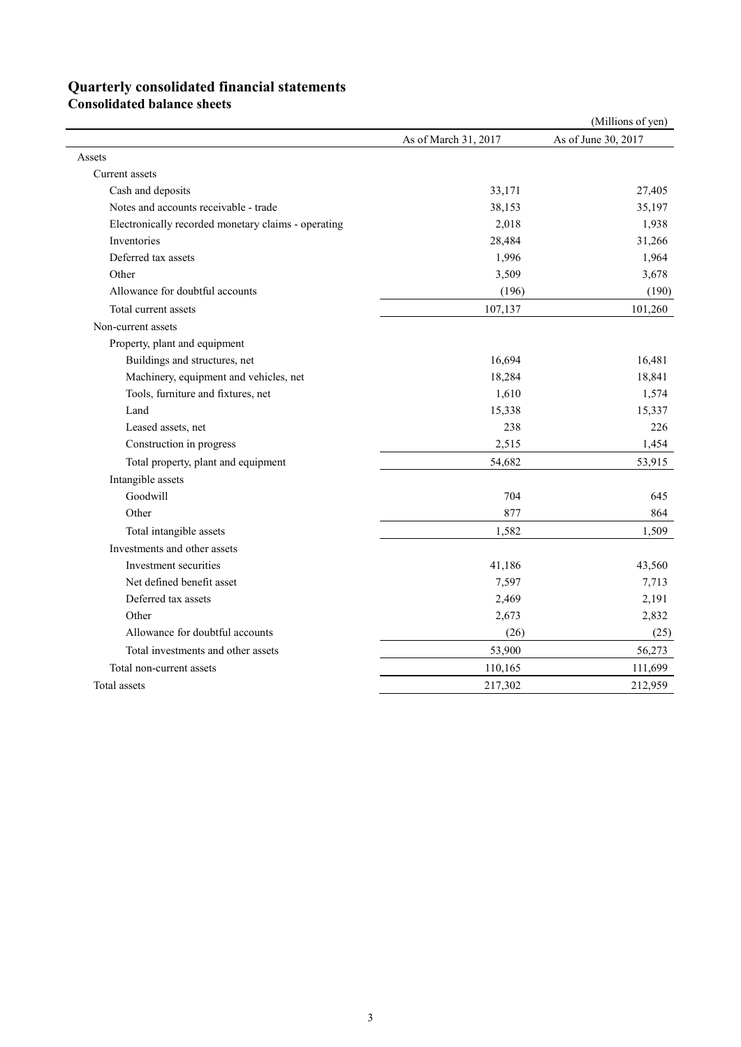## **Quarterly consolidated financial statements**

**Consolidated balance sheets** 

|                                                     |                      | (Millions of yen)   |
|-----------------------------------------------------|----------------------|---------------------|
|                                                     | As of March 31, 2017 | As of June 30, 2017 |
| Assets                                              |                      |                     |
| Current assets                                      |                      |                     |
| Cash and deposits                                   | 33,171               | 27,405              |
| Notes and accounts receivable - trade               | 38,153               | 35,197              |
| Electronically recorded monetary claims - operating | 2,018                | 1,938               |
| Inventories                                         | 28,484               | 31,266              |
| Deferred tax assets                                 | 1,996                | 1,964               |
| Other                                               | 3,509                | 3,678               |
| Allowance for doubtful accounts                     | (196)                | (190)               |
| Total current assets                                | 107,137              | 101,260             |
| Non-current assets                                  |                      |                     |
| Property, plant and equipment                       |                      |                     |
| Buildings and structures, net                       | 16,694               | 16,481              |
| Machinery, equipment and vehicles, net              | 18,284               | 18,841              |
| Tools, furniture and fixtures, net                  | 1,610                | 1,574               |
| Land                                                | 15,338               | 15,337              |
| Leased assets, net                                  | 238                  | 226                 |
| Construction in progress                            | 2,515                | 1,454               |
| Total property, plant and equipment                 | 54,682               | 53,915              |
| Intangible assets                                   |                      |                     |
| Goodwill                                            | 704                  | 645                 |
| Other                                               | 877                  | 864                 |
| Total intangible assets                             | 1,582                | 1,509               |
| Investments and other assets                        |                      |                     |
| Investment securities                               | 41,186               | 43,560              |
| Net defined benefit asset                           | 7,597                | 7,713               |
| Deferred tax assets                                 | 2,469                | 2,191               |
| Other                                               | 2,673                | 2,832               |
| Allowance for doubtful accounts                     | (26)                 | (25)                |
| Total investments and other assets                  | 53,900               | 56,273              |
| Total non-current assets                            | 110,165              | 111,699             |
| Total assets                                        | 217,302              | 212,959             |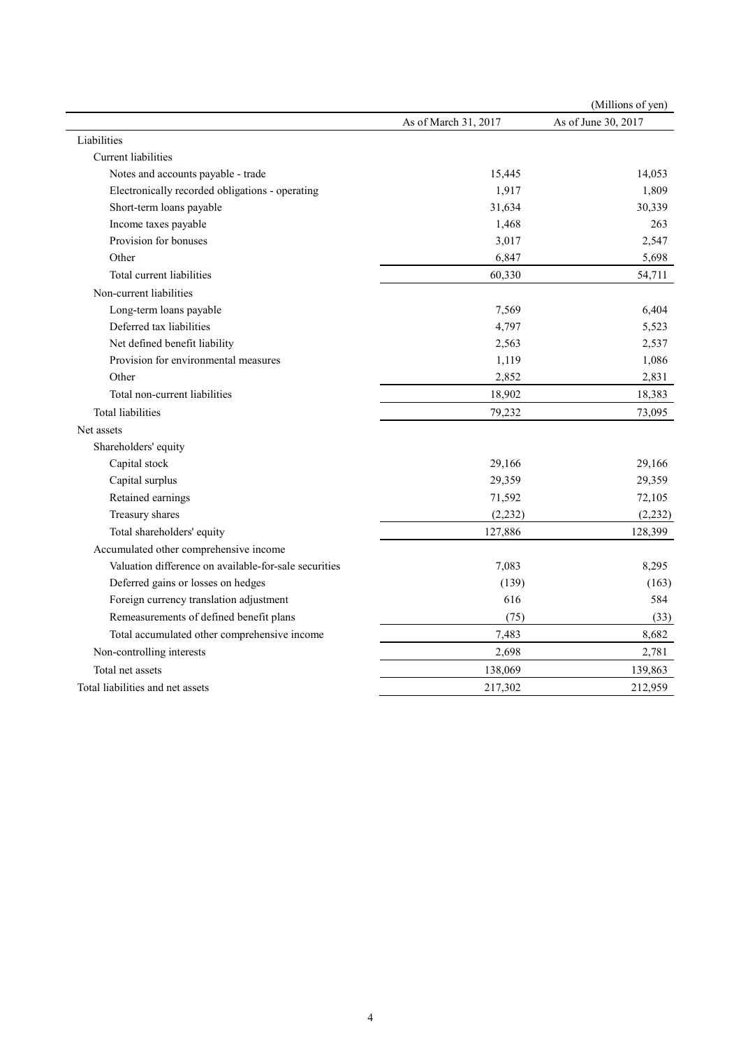|                                                       |                      | (Millions of yen)   |
|-------------------------------------------------------|----------------------|---------------------|
|                                                       | As of March 31, 2017 | As of June 30, 2017 |
| Liabilities                                           |                      |                     |
| Current liabilities                                   |                      |                     |
| Notes and accounts payable - trade                    | 15,445               | 14,053              |
| Electronically recorded obligations - operating       | 1,917                | 1,809               |
| Short-term loans payable                              | 31,634               | 30,339              |
| Income taxes payable                                  | 1,468                | 263                 |
| Provision for bonuses                                 | 3,017                | 2,547               |
| Other                                                 | 6,847                | 5,698               |
| Total current liabilities                             | 60,330               | 54,711              |
| Non-current liabilities                               |                      |                     |
| Long-term loans payable                               | 7,569                | 6,404               |
| Deferred tax liabilities                              | 4,797                | 5,523               |
| Net defined benefit liability                         | 2,563                | 2,537               |
| Provision for environmental measures                  | 1,119                | 1,086               |
| Other                                                 | 2,852                | 2,831               |
| Total non-current liabilities                         | 18,902               | 18,383              |
| <b>Total liabilities</b>                              | 79,232               | 73,095              |
| Net assets                                            |                      |                     |
| Shareholders' equity                                  |                      |                     |
| Capital stock                                         | 29,166               | 29,166              |
| Capital surplus                                       | 29,359               | 29,359              |
| Retained earnings                                     | 71,592               | 72,105              |
| Treasury shares                                       | (2, 232)             | (2, 232)            |
| Total shareholders' equity                            | 127,886              | 128,399             |
| Accumulated other comprehensive income                |                      |                     |
| Valuation difference on available-for-sale securities | 7,083                | 8,295               |
| Deferred gains or losses on hedges                    | (139)                | (163)               |
| Foreign currency translation adjustment               | 616                  | 584                 |
| Remeasurements of defined benefit plans               | (75)                 | (33)                |
| Total accumulated other comprehensive income          | 7,483                | 8,682               |
| Non-controlling interests                             | 2,698                | 2,781               |
| Total net assets                                      | 138,069              | 139,863             |
| Total liabilities and net assets                      | 217,302              | 212,959             |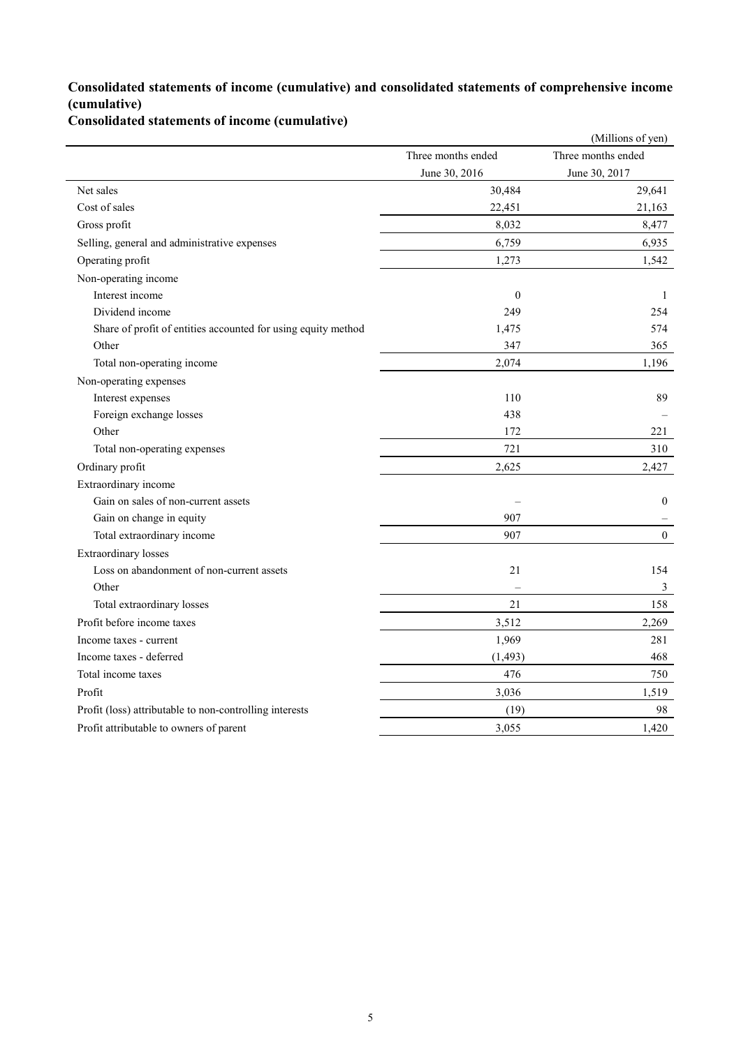### **Consolidated statements of income (cumulative) and consolidated statements of comprehensive income (cumulative)**

**Consolidated statements of income (cumulative)**

|                                                               |                    | (Millions of yen)  |
|---------------------------------------------------------------|--------------------|--------------------|
|                                                               | Three months ended | Three months ended |
|                                                               | June 30, 2016      | June 30, 2017      |
| Net sales                                                     | 30,484             | 29,641             |
| Cost of sales                                                 | 22,451             | 21,163             |
| Gross profit                                                  | 8,032              | 8,477              |
| Selling, general and administrative expenses                  | 6,759              | 6,935              |
| Operating profit                                              | 1,273              | 1,542              |
| Non-operating income                                          |                    |                    |
| Interest income                                               | $\boldsymbol{0}$   | $\mathbf{1}$       |
| Dividend income                                               | 249                | 254                |
| Share of profit of entities accounted for using equity method | 1,475              | 574                |
| Other                                                         | 347                | 365                |
| Total non-operating income                                    | 2,074              | 1,196              |
| Non-operating expenses                                        |                    |                    |
| Interest expenses                                             | 110                | 89                 |
| Foreign exchange losses                                       | 438                |                    |
| Other                                                         | 172                | 221                |
| Total non-operating expenses                                  | 721                | 310                |
| Ordinary profit                                               | 2,625              | 2,427              |
| Extraordinary income                                          |                    |                    |
| Gain on sales of non-current assets                           |                    | $\boldsymbol{0}$   |
| Gain on change in equity                                      | 907                |                    |
| Total extraordinary income                                    | 907                | $\boldsymbol{0}$   |
| <b>Extraordinary</b> losses                                   |                    |                    |
| Loss on abandonment of non-current assets                     | 21                 | 154                |
| Other                                                         |                    | $\mathfrak{Z}$     |
| Total extraordinary losses                                    | 21                 | 158                |
| Profit before income taxes                                    | 3,512              | 2,269              |
| Income taxes - current                                        | 1,969              | 281                |
| Income taxes - deferred                                       | (1, 493)           | 468                |
| Total income taxes                                            | 476                | 750                |
| Profit                                                        | 3,036              | 1,519              |
| Profit (loss) attributable to non-controlling interests       | (19)               | 98                 |
| Profit attributable to owners of parent                       | 3,055              | 1,420              |